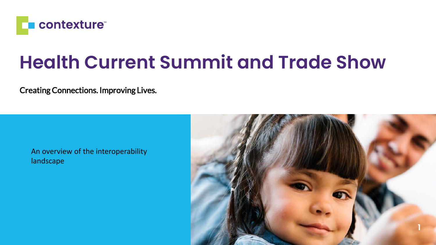

### **Health Current Summit and Trade Show**

Creating Connections. Improving Lives.

An overview of the interoperability landscape

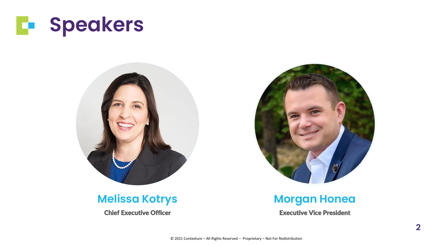



### **Melissa Kotrys**

Chief Executive Officer

#### **Morgan Honea**

Executive Vice President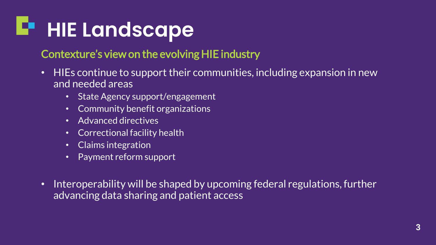# **HIE Landscape**

### Contexture's view on the evolving HIE industry

- HIEs continue to support their communities, including expansion in new and needed areas
	- State Agency support/engagement
	- Community benefit organizations
	- Advanced directives
	- Correctional facility health
	- Claims integration
	- Payment reform support
- Interoperability will be shaped by upcoming federal regulations, further advancing data sharing and patient access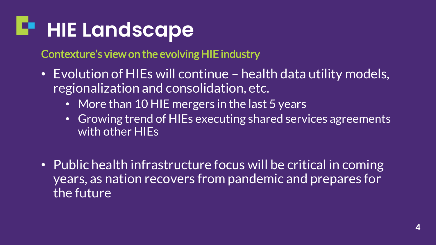# **HIE Landscape**

Contexture's view on the evolving HIE industry

- Evolution of HIEs will continue health data utility models, regionalization and consolidation, etc.
	- More than 10 HIE mergers in the last 5 years
	- Growing trend of HIEs executing shared services agreements with other HIEs
- Public health infrastructure focus will be critical in coming years, as nation recovers from pandemic and prepares for the future